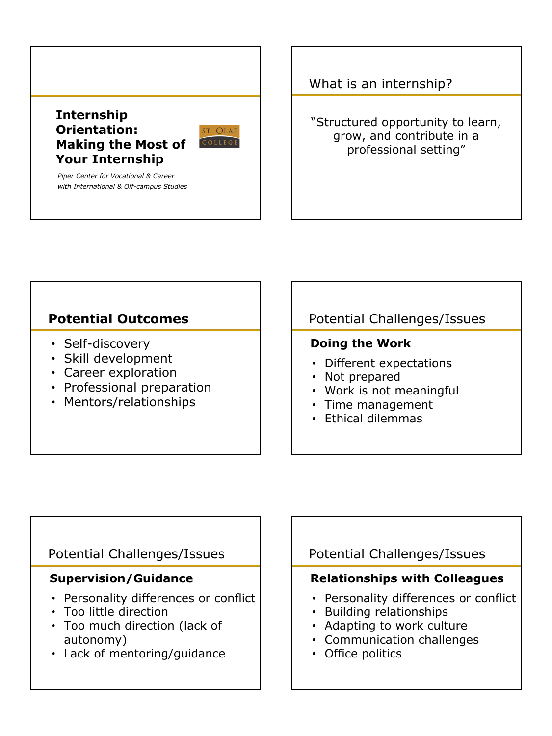

## What is an internship?

"Structured opportunity to learn, grow, and contribute in a professional setting"

# **Potential Outcomes**

- Self-discovery
- Skill development
- Career exploration
- Professional preparation
- Mentors/relationships

# Potential Challenges/Issues

## **Doing the Work**

- Different expectations
- Not prepared
- Work is not meaningful
- Time management
- Ethical dilemmas

## Potential Challenges/Issues

## **Supervision/Guidance**

- Personality differences or conflict
- Too little direction
- Too much direction (lack of autonomy)
- Lack of mentoring/guidance

# Potential Challenges/Issues

## **Relationships with Colleagues**

- Personality differences or conflict
- Building relationships
- Adapting to work culture
- Communication challenges
- Office politics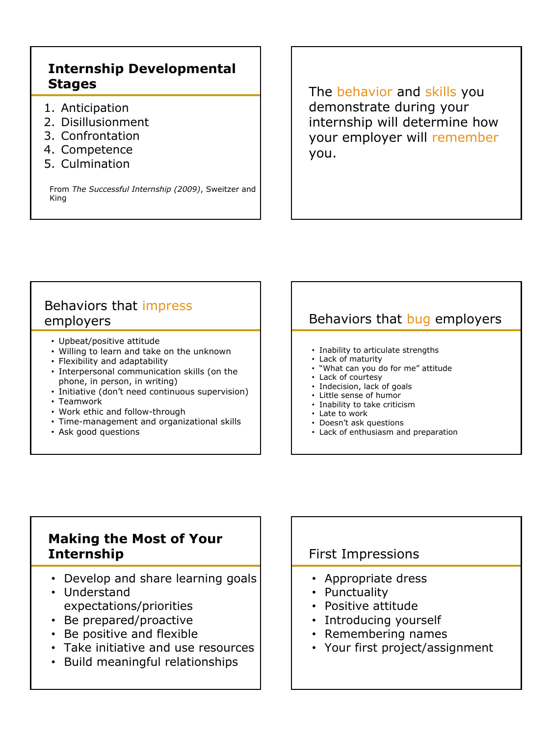# **Internship Developmental Stages**

- 1. Anticipation
- 2. Disillusionment
- 3. Confrontation
- 4. Competence
- 5. Culmination

From *The Successful Internship (2009)*, Sweitzer and King

The behavior and skills you demonstrate during your internship will determine how your employer will remember you.

# Behaviors that impress employers

- Upbeat/positive attitude
- Willing to learn and take on the unknown
- Flexibility and adaptability
- Interpersonal communication skills (on the phone, in person, in writing)
- Initiative (don't need continuous supervision)
- Teamwork
- Work ethic and follow-through
- Time-management and organizational skills
- Ask good questions

# Behaviors that bug employers

- Inability to articulate strengths
- Lack of maturity
- "What can you do for me" attitude
- Lack of courtesy
- Indecision, lack of goals
- Little sense of humor
- Inability to take criticism
- Late to work
- Doesn't ask questions
- Lack of enthusiasm and preparation

# **Making the Most of Your Internship**

- Develop and share learning goals
- Understand expectations/priorities
- Be prepared/proactive
- Be positive and flexible
- Take initiative and use resources
- Build meaningful relationships

## First Impressions

- Appropriate dress
- Punctuality
- Positive attitude
- Introducing yourself
- Remembering names
- Your first project/assignment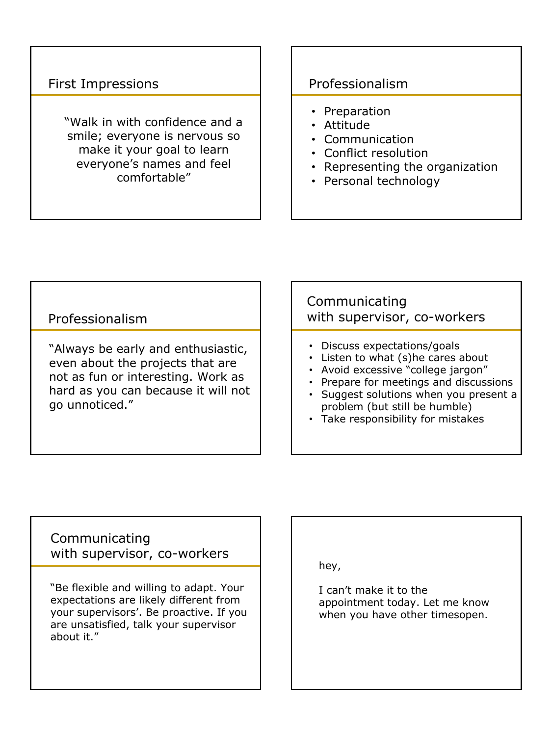# First Impressions

"Walk in with confidence and a smile; everyone is nervous so make it your goal to learn everyone's names and feel comfortable"

## Professionalism

- Preparation
- Attitude
- Communication
- Conflict resolution
- Representing the organization
- Personal technology

### Professionalism

"Always be early and enthusiastic, even about the projects that are not as fun or interesting. Work as hard as you can because it will not go unnoticed."

## Communicating with supervisor, co-workers

- Discuss expectations/goals
- Listen to what (s)he cares about
- Avoid excessive "college jargon"
- Prepare for meetings and discussions
- Suggest solutions when you present a problem (but still be humble)
- Take responsibility for mistakes

Communicating with supervisor, co-workers

"Be flexible and willing to adapt. Your expectations are likely different from your supervisors'. Be proactive. If you are unsatisfied, talk your supervisor about it."

hey,

I can't make it to the appointment today. Let me know when you have other timesopen.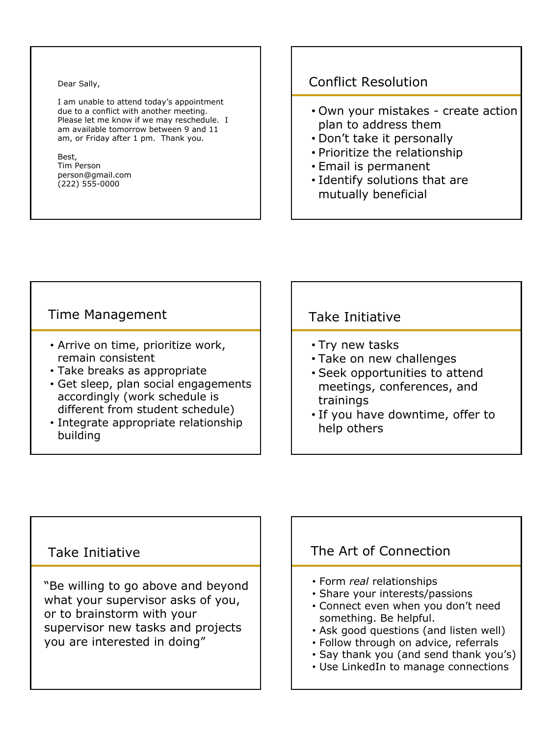#### Dear Sally,

I am unable to attend today's appointment due to a conflict with another meeting. Please let me know if we may reschedule. I am available tomorrow between 9 and 11 am, or Friday after 1 pm. Thank you.

#### Best, Tim Person person@gmail.com (222) 555-0000

# Conflict Resolution

- Own your mistakes create action plan to address them
- Don't take it personally
- Prioritize the relationship
- Email is permanent
- Identify solutions that are mutually beneficial

### Time Management

- Arrive on time, prioritize work, remain consistent
- Take breaks as appropriate
- Get sleep, plan social engagements accordingly (work schedule is different from student schedule)
- Integrate appropriate relationship building

### Take Initiative

- Try new tasks
- Take on new challenges
- Seek opportunities to attend meetings, conferences, and trainings
- If you have downtime, offer to help others

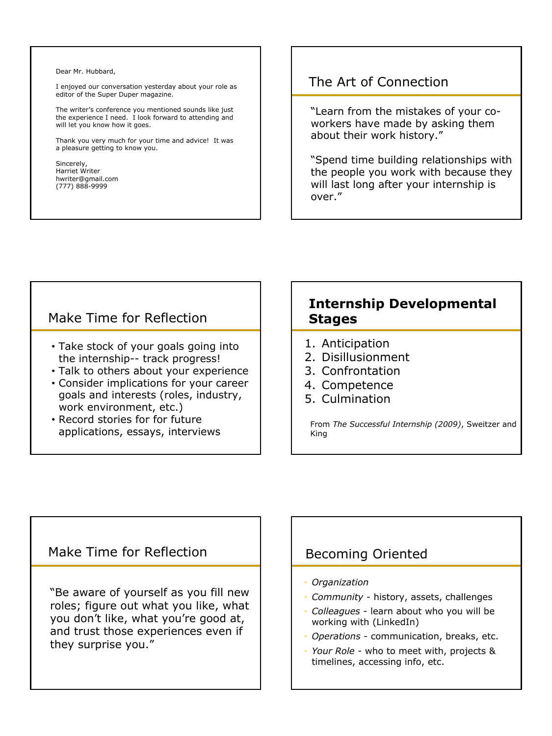#### Dear Mr. Hubbard,

I enjoyed our conversation yesterday about your role as editor of the Super Duper magazine.

The writer's conference you mentioned sounds like just the experience I need. I look forward to attending and will let you know how it goes.

Thank you very much for your time and advice! It was a pleasure getting to know you.

Sincerely, Harriet Writer hwriter@gmail.com (777) 888-9999

### The Art of Connection

"Learn from the mistakes of your coworkers have made by asking them about their work history."

"Spend time building relationships with the people you work with because they will last long after your internship is over."

### Make Time for Reflection

- Take stock of your goals going into the internship-- track progress!
- Talk to others about your experience
- Consider implications for your career goals and interests (roles, industry, work environment, etc.)
- Record stories for for future applications, essays, interviews

### **Internship Developmental Stages**

- 1. Anticipation
- 2. Disillusionment
- 3. Confrontation
- 4. Competence
- 5. Culmination

From *The Successful Internship (2009)*, Sweitzer and King

### Make Time for Reflection

"Be aware of yourself as you fill new roles; figure out what you like, what you don't like, what you're good at, and trust those experiences even if they surprise you."

## Becoming Oriented

- *• Organization*
- *Community* history, assets, challenges
- *Colleagues* learn about who you will be working with (LinkedIn)
- *Operations* communication, breaks, etc.
- *Your Role* who to meet with, projects & timelines, accessing info, etc.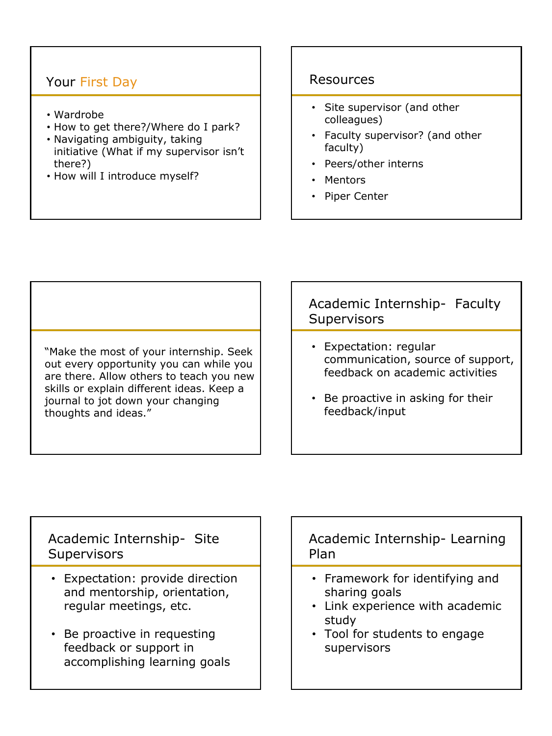# Your First Day

- Wardrobe
- How to get there?/Where do I park?
- Navigating ambiguity, taking initiative (What if my supervisor isn't there?)
- How will I introduce myself?

### Resources

- Site supervisor (and other colleagues)
- Faculty supervisor? (and other faculty)
- Peers/other interns
- Mentors
- Piper Center

"Make the most of your internship. Seek out every opportunity you can while you are there. Allow others to teach you new skills or explain different ideas. Keep a journal to jot down your changing thoughts and ideas."

# Academic Internship- Faculty **Supervisors**

- Expectation: regular communication, source of support, feedback on academic activities
- Be proactive in asking for their feedback/input

## Academic Internship- Site **Supervisors**

- Expectation: provide direction and mentorship, orientation, regular meetings, etc.
- Be proactive in requesting feedback or support in accomplishing learning goals

## Academic Internship- Learning Plan

- Framework for identifying and sharing goals
- Link experience with academic study
- Tool for students to engage supervisors